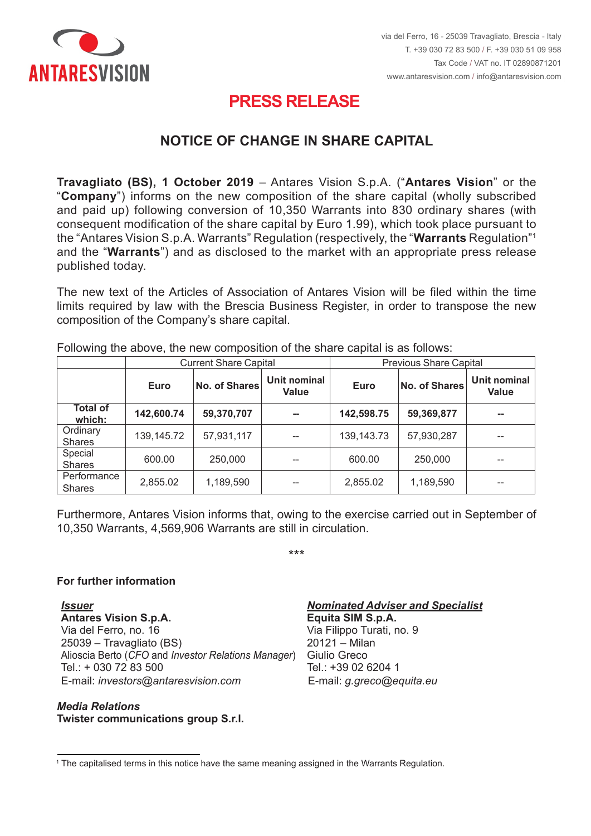

# **PRESS RELEASE PRESS RELEASE**

## **COMUNICAZIONE VARIAZIONE DEL CAPITALE SOCIALE NOTICE OF CHANGE IN SHARE CAPITAL**

**Travagliato (BS), 1 October 2019** – Antares Vision S.p.A. ("**Antares Vision**" or the "**Company**") informs on the new composition of the share capital (wholly subscribed and paid up) following conversion of 10,350 Warrants into 830 ordinary shares (with consequent modification of the share capital by Euro 1.99), which took place pursuant to the "Antares Vision S.p.A. Warrants" Regulation (respectively, the "**Warrants** Regulation"<sup></sup> and the "Warrants") and as disclosed to the market with an appropriate press release published today.

The new text of the Articles of Association of Antares Vision will be filed within the time limits required by law with the Brescia Business Register, in order to transpose the new composition of the Company's share capital.

|                              | <b>Current Share Capital</b> |                      |                              | <b>Previous Share Capital</b> |                      |                              |
|------------------------------|------------------------------|----------------------|------------------------------|-------------------------------|----------------------|------------------------------|
|                              | <b>Euro</b>                  | <b>No. of Shares</b> | Unit nominal<br><b>Value</b> | <b>Euro</b>                   | <b>No. of Shares</b> | Unit nominal<br><b>Value</b> |
| <b>Total of</b><br>which:    | 142,600.74                   | 59,370,707           | $\sim$                       | 142,598.75                    | 59,369,877           | --                           |
| Ordinary<br><b>Shares</b>    | 139, 145.72                  | 57,931,117           | $- -$                        | 139, 143. 73                  | 57,930,287           | --                           |
| Special<br><b>Shares</b>     | 600.00                       | 250,000              | --                           | 600.00                        | 250,000              | --                           |
| Performance<br><b>Shares</b> | 2,855.02                     | 1,189,590            | --                           | 2,855.02                      | 1,189,590            | --                           |
|                              |                              |                      |                              |                               |                      |                              |

Following the above, the new composition of the share capital is as follows:

10,350 Warrants, 4,569,906 Warrants are still in circulation. Furthermore, Antares Vision informs that, owing to the exercise carried out in September of

\*\*\*

### **For further information**

**Per maggiori informazioni** *Emittente* **Antares Vision S.p.A. Equita SIM S.p.A.** Via del Ferro, no. 16 Via del Ferro, n. 16 25039 – Travagliato (BS) 20121 – Milan Alioscia Berto (*CFO* and *Investor Relations Manager*) Giulio Greco<br>Travaga Tana Tana Tan Alioscia Berto (*CFO* e *Investor Relator*) Tel.: + 030 72 83 500 Tel.: +39 02 6204 1 E-mail: *investors@antaresvision.com* E-mail: *g.greco@equita.eu* Via del Ferro, no. 16 *Via Filippo Turati, no.* 9 Via Filippo Turati, no. 9 *Issuer Nominated Adviser and Specialist*

#### E-mail: *investors@antaresvision.com Media Relations* **Twister communications group S.r.l.** *Media Relations*

**Equita SIM S.p.A.**  $20121 -$ Milan Tel.:  $+390262041$ E-mail: g.greco@equita.eu

 $^{\rm 1}$  The capitalised terms in this notice have the same meaning assigned in the Warrants Regulation.